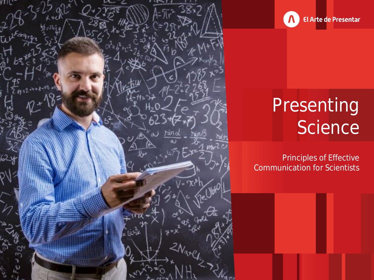



# Presenting Science

Principles of Effective Communication for Scientists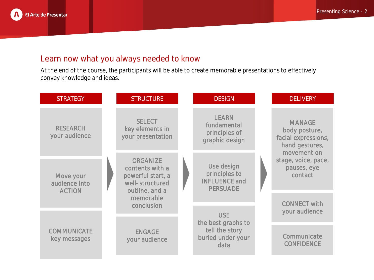

## Learn now what you always needed to know

At the end of the course, the participants will be able to create memorable presentations to effectively convey knowledge and ideas.

| <b>STRATEGY</b>                             |  | <b>STRUCTURE</b>                                                                                                 |  | <b>DESIGN</b>                                                            |  | <b>DELIVERY</b>                                                                                                                         |
|---------------------------------------------|--|------------------------------------------------------------------------------------------------------------------|--|--------------------------------------------------------------------------|--|-----------------------------------------------------------------------------------------------------------------------------------------|
| <b>RESEARCH</b><br>your audience            |  | <b>SELECT</b><br>key elements in<br>your presentation                                                            |  | <b>LEARN</b><br>fundamental<br>principles of<br>graphic design           |  | <b>MANAGE</b><br>body posture,<br>facial expressions,<br>hand gestures,<br>movement on<br>stage, voice, pace,<br>pauses, eye<br>contact |
| Move your<br>audience into<br><b>ACTION</b> |  | ORGANIZE<br>contents with a<br>powerful start, a<br>well-structured<br>outline, and a<br>memorable<br>conclusion |  | Use design<br>principles to<br><b>INFLUENCE and</b><br><b>PERSUADE</b>   |  |                                                                                                                                         |
|                                             |  |                                                                                                                  |  | USE<br>the best graphs to<br>tell the story<br>buried under your<br>data |  | <b>CONNECT with</b><br>your audience                                                                                                    |
| COMMUNICATE<br>key messages                 |  | <b>ENGAGE</b><br>your audience                                                                                   |  |                                                                          |  | Communicate                                                                                                                             |
|                                             |  |                                                                                                                  |  |                                                                          |  | <b>CONFIDENCE</b>                                                                                                                       |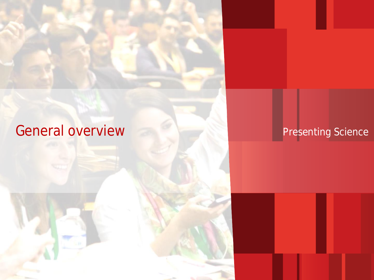# General overview Presenting Science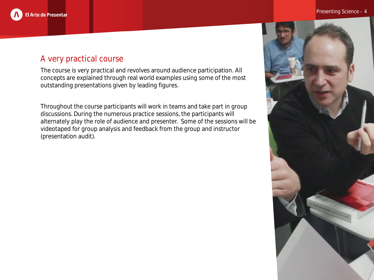

## A very practical course

The course is very practical and revolves around audience participation. All concepts are explained through real world examples using some of the most outstanding presentations given by leading figures.

Throughout the course participants will work in teams and take part in group discussions. During the numerous practice sessions, the participants will alternately play the role of audience and presenter. Some of the sessions will be videotaped for group analysis and feedback from the group and instructor (presentation audit).

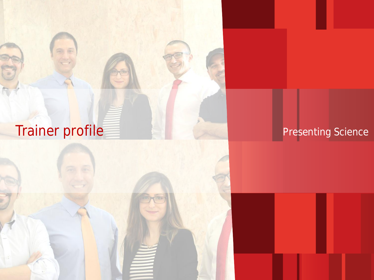# Trainer profile Presenting Science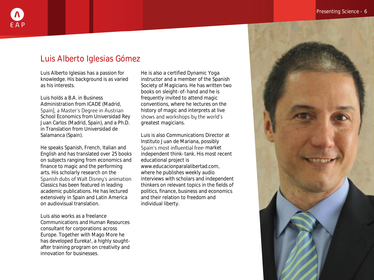## Luis Alberto Iglesias Gómez

Luis Alberto Iglesias has a passion for knowledge. His background is as varied as his interests.

Luis holds a B.A. in Business Administration from ICADE (Madrid, Spain), a Master's Degree in Austrian School Economics from Universidad Rey Juan Carlos (Madrid, Spain), and a Ph.D. in Translation from Universidad de Salamanca (Spain).

He speaks Spanish, French, Italian and English and has translated over 25 books on subjects ranging from economics and finance to magic and the performing arts. His scholarly research on the Spanish dubs of Walt Disney's animation Classics has been featured in leading academic publications. He has lectured extensively in Spain and Latin America on audiovisual translation.

Luis also works as a freelance Communications and Human Resources consultant for corporations across Europe. Together with Mago More he has developed Eureka!, a highly soughtafter training program on creativity and innovation for businesses.

He is also a certified Dynamic Yoga instructor and a member of the Spanish Society of Magicians. He has written two books on sleight-of-hand and he is frequently invited to attend magic conventions, where he lectures on the history of magic and interprets at live shows and workshops by the world's greatest magicians.

Luis is also Communications Director at Instituto Juan de Mariana, possibly Spain's most influential free-market independent think-tank. His most recent educational project is www.educacionparalalibertad.com, where he publishes weekly audio interviews with scholars and independent thinkers on relevant topics in the fields of politics, finance, business and economics and their relation to freedom and individual liberty.

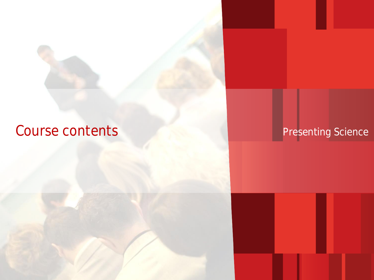## Course contents and the presenting Science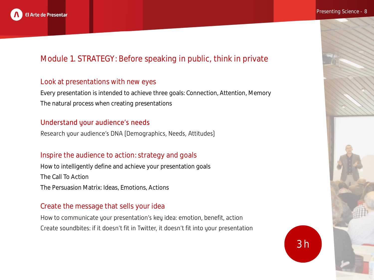

## Module 1. STRATEGY: Before speaking in public, think in private

## Look at presentations with new eyes

Every presentation is intended to achieve three goals: Connection, Attention, Memory The natural process when creating presentations

## Understand your audience's needs

Research your audience's DNA (Demographics, Needs, Attitudes)

## Inspire the audience to action: strategy and goals

How to intelligently define and achieve your presentation goals The Call To Action The Persuasion Matrix: Ideas, Emotions, Actions

## Create the message that sells your idea

How to communicate your presentation's key idea: emotion, benefit, action Create soundbites: if it doesn't fit in Twitter, it doesn't fit into your presentation

3 h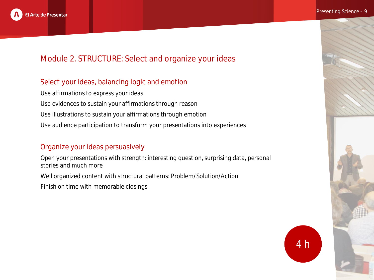

#### Presenting Science - 9

## Module 2. STRUCTURE: Select and organize your ideas

## Select your ideas, balancing logic and emotion

Use affirmations to express your ideas Use evidences to sustain your affirmations through reason Use illustrations to sustain your affirmations through emotion Use audience participation to transform your presentations into experiences

## Organize your ideas persuasively

Open your presentations with strength: interesting question, surprising data, personal stories and much more

Well organized content with structural patterns: Problem/Solution/Action

Finish on time with memorable closings

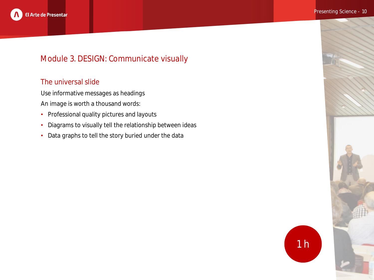

## Module 3. DESIGN: Communicate visually

## The universal slide

Use informative messages as headings

- An image is worth a thousand words:
- Professional quality pictures and layouts
- Diagrams to visually tell the relationship between ideas
- Data graphs to tell the story buried under the data

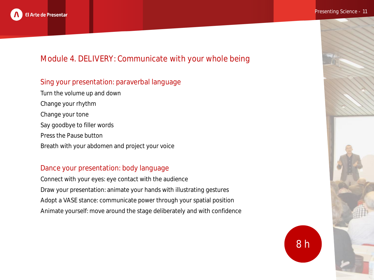

## Module 4. DELIVERY: Communicate with your whole being

## Sing your presentation: paraverbal language

Turn the volume up and down Change your rhythm Change your tone Say goodbye to filler words Press the Pause button Breath with your abdomen and project your voice

### Dance your presentation: body language

Connect with your eyes: eye contact with the audience Draw your presentation: animate your hands with illustrating gestures Adopt a VASE stance: communicate power through your spatial position Animate yourself: move around the stage deliberately and with confidence